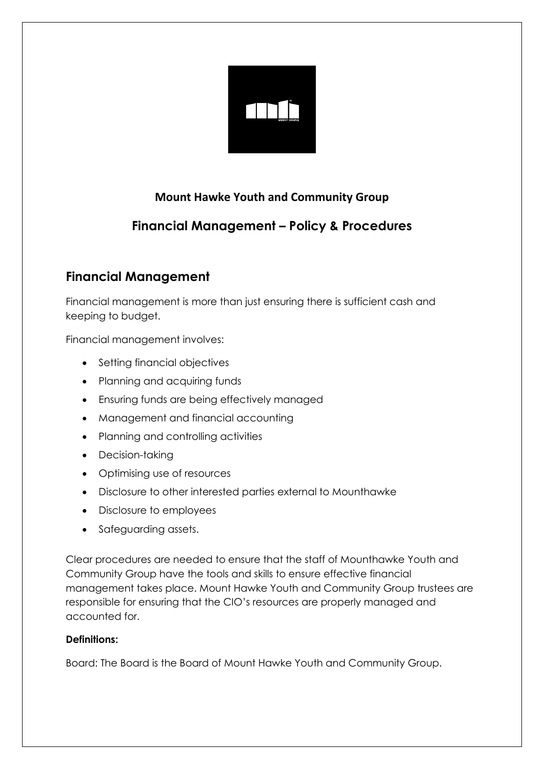

## **Mount Hawke Youth and Community Group**

# **Financial Management – Policy & Procedures**

## **Financial Management**

Financial management is more than just ensuring there is sufficient cash and keeping to budget.

Financial management involves:

- Setting financial objectives
- Planning and acquiring funds
- Ensuring funds are being effectively managed
- Management and financial accounting
- Planning and controlling activities
- Decision-taking
- Optimising use of resources
- Disclosure to other interested parties external to Mounthawke
- Disclosure to employees
- Safeguarding assets.

Clear procedures are needed to ensure that the staff of Mounthawke Youth and Community Group have the tools and skills to ensure effective financial management takes place. Mount Hawke Youth and Community Group trustees are responsible for ensuring that the CIO's resources are properly managed and accounted for.

## **Definitions:**

Board: The Board is the Board of Mount Hawke Youth and Community Group.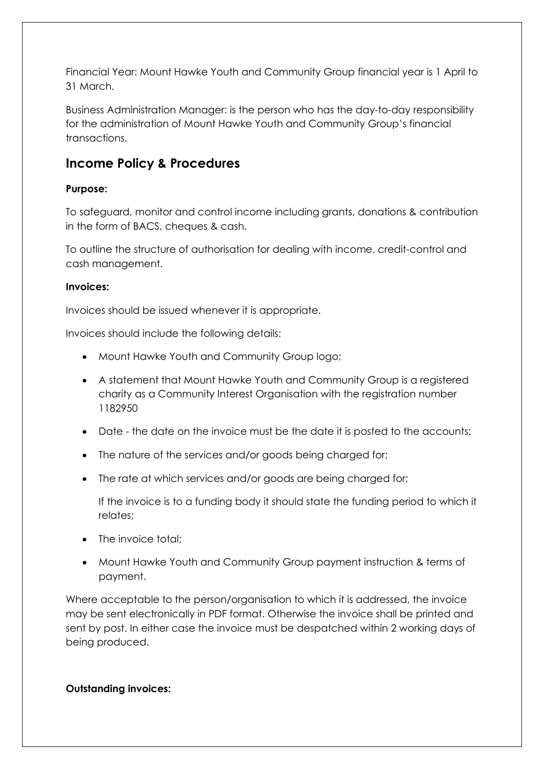Financial Year: Mount Hawke Youth and Community Group financial year is 1 April to 31 March.

Business Administration Manager: is the person who has the day-to-day responsibility for the administration of Mount Hawke Youth and Community Group's financial transactions.

## **Income Policy & Procedures**

## **Purpose:**

To safeguard, monitor and control income including grants, donations & contribution in the form of BACS, cheques & cash.

To outline the structure of authorisation for dealing with income, credit-control and cash management.

## **Invoices:**

Invoices should be issued whenever it is appropriate.

Invoices should include the following details:

- Mount Hawke Youth and Community Group logo;
- A statement that Mount Hawke Youth and Community Group is a registered charity as a Community Interest Organisation with the registration number 1182950
- Date the date on the invoice must be the date it is posted to the accounts;
- The nature of the services and/or goods being charged for;
- The rate at which services and/or goods are being charged for;

If the invoice is to a funding body it should state the funding period to which it relates;

- The invoice total:
- Mount Hawke Youth and Community Group payment instruction & terms of payment.

Where acceptable to the person/organisation to which it is addressed, the invoice may be sent electronically in PDF format. Otherwise the invoice shall be printed and sent by post. In either case the invoice must be despatched within 2 working days of being produced.

## **Outstanding invoices:**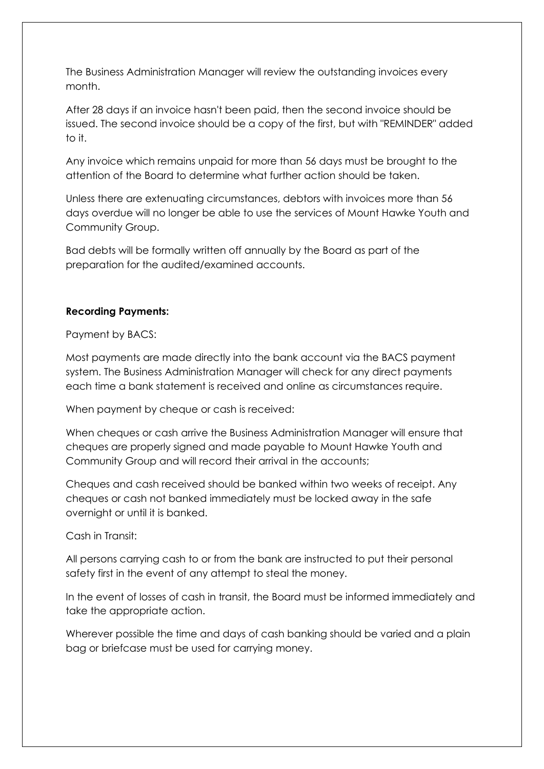The Business Administration Manager will review the outstanding invoices every month.

After 28 days if an invoice hasn't been paid, then the second invoice should be issued. The second invoice should be a copy of the first, but with "REMINDER" added to it.

Any invoice which remains unpaid for more than 56 days must be brought to the attention of the Board to determine what further action should be taken.

Unless there are extenuating circumstances, debtors with invoices more than 56 days overdue will no longer be able to use the services of Mount Hawke Youth and Community Group.

Bad debts will be formally written off annually by the Board as part of the preparation for the audited/examined accounts.

### **Recording Payments:**

Payment by BACS:

Most payments are made directly into the bank account via the BACS payment system. The Business Administration Manager will check for any direct payments each time a bank statement is received and online as circumstances require.

When payment by cheque or cash is received:

When cheques or cash arrive the Business Administration Manager will ensure that cheques are properly signed and made payable to Mount Hawke Youth and Community Group and will record their arrival in the accounts;

Cheques and cash received should be banked within two weeks of receipt. Any cheques or cash not banked immediately must be locked away in the safe overnight or until it is banked.

Cash in Transit:

All persons carrying cash to or from the bank are instructed to put their personal safety first in the event of any attempt to steal the money.

In the event of losses of cash in transit, the Board must be informed immediately and take the appropriate action.

Wherever possible the time and days of cash banking should be varied and a plain bag or briefcase must be used for carrying money.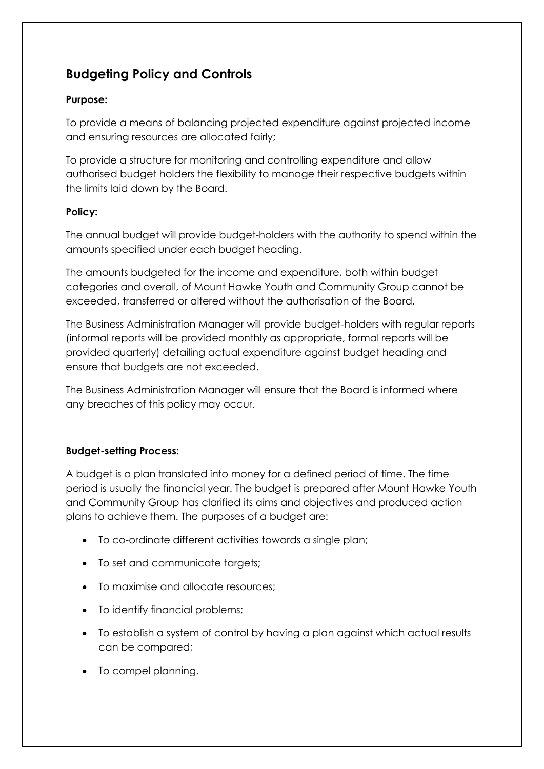# **Budgeting Policy and Controls**

### **Purpose:**

To provide a means of balancing projected expenditure against projected income and ensuring resources are allocated fairly;

To provide a structure for monitoring and controlling expenditure and allow authorised budget holders the flexibility to manage their respective budgets within the limits laid down by the Board.

### **Policy:**

The annual budget will provide budget-holders with the authority to spend within the amounts specified under each budget heading.

The amounts budgeted for the income and expenditure, both within budget categories and overall, of Mount Hawke Youth and Community Group cannot be exceeded, transferred or altered without the authorisation of the Board.

The Business Administration Manager will provide budget-holders with regular reports (informal reports will be provided monthly as appropriate, formal reports will be provided quarterly) detailing actual expenditure against budget heading and ensure that budgets are not exceeded.

The Business Administration Manager will ensure that the Board is informed where any breaches of this policy may occur.

## **Budget-setting Process:**

A budget is a plan translated into money for a defined period of time. The time period is usually the financial year. The budget is prepared after Mount Hawke Youth and Community Group has clarified its aims and objectives and produced action plans to achieve them. The purposes of a budget are:

- To co-ordinate different activities towards a single plan;
- To set and communicate targets;
- To maximise and allocate resources;
- To identify financial problems;
- To establish a system of control by having a plan against which actual results can be compared;
- To compel planning.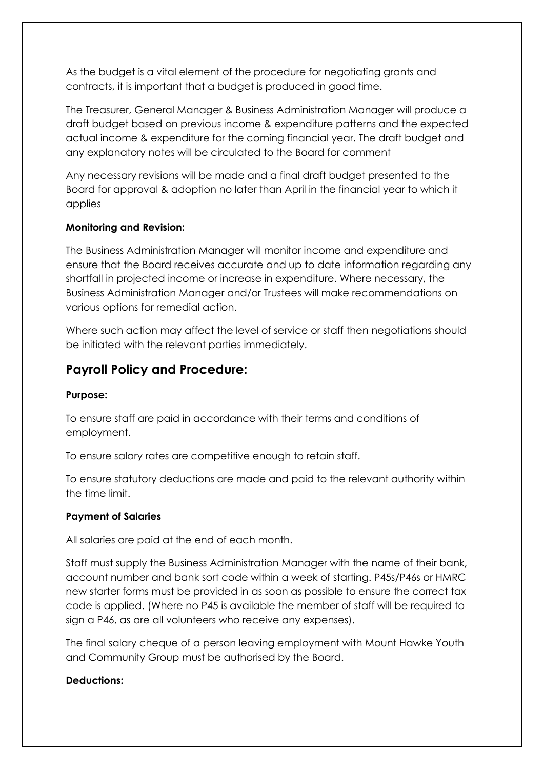As the budget is a vital element of the procedure for negotiating grants and contracts, it is important that a budget is produced in good time.

The Treasurer, General Manager & Business Administration Manager will produce a draft budget based on previous income & expenditure patterns and the expected actual income & expenditure for the coming financial year. The draft budget and any explanatory notes will be circulated to the Board for comment

Any necessary revisions will be made and a final draft budget presented to the Board for approval & adoption no later than April in the financial year to which it applies

### **Monitoring and Revision:**

The Business Administration Manager will monitor income and expenditure and ensure that the Board receives accurate and up to date information regarding any shortfall in projected income or increase in expenditure. Where necessary, the Business Administration Manager and/or Trustees will make recommendations on various options for remedial action.

Where such action may affect the level of service or staff then negotiations should be initiated with the relevant parties immediately.

## **Payroll Policy and Procedure:**

#### **Purpose:**

To ensure staff are paid in accordance with their terms and conditions of employment.

To ensure salary rates are competitive enough to retain staff.

To ensure statutory deductions are made and paid to the relevant authority within the time limit.

#### **Payment of Salaries**

All salaries are paid at the end of each month.

Staff must supply the Business Administration Manager with the name of their bank, account number and bank sort code within a week of starting. P45s/P46s or HMRC new starter forms must be provided in as soon as possible to ensure the correct tax code is applied. (Where no P45 is available the member of staff will be required to sign a P46, as are all volunteers who receive any expenses).

The final salary cheque of a person leaving employment with Mount Hawke Youth and Community Group must be authorised by the Board.

#### **Deductions:**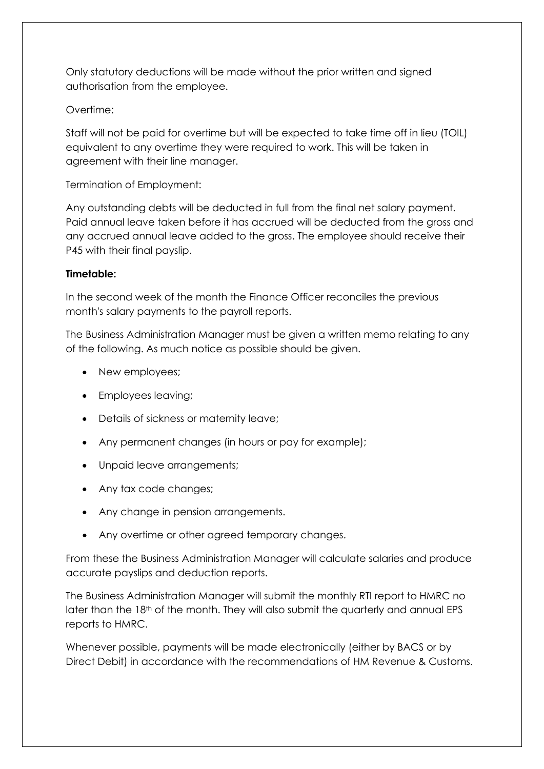Only statutory deductions will be made without the prior written and signed authorisation from the employee.

### Overtime:

Staff will not be paid for overtime but will be expected to take time off in lieu (TOIL) equivalent to any overtime they were required to work. This will be taken in agreement with their line manager.

Termination of Employment:

Any outstanding debts will be deducted in full from the final net salary payment. Paid annual leave taken before it has accrued will be deducted from the gross and any accrued annual leave added to the gross. The employee should receive their P45 with their final payslip.

### **Timetable:**

In the second week of the month the Finance Officer reconciles the previous month's salary payments to the payroll reports.

The Business Administration Manager must be given a written memo relating to any of the following. As much notice as possible should be given.

- New employees;
- Employees leaving;
- Details of sickness or maternity leave;
- Any permanent changes (in hours or pay for example);
- Unpaid leave arrangements;
- Any tax code changes;
- Any change in pension arrangements.
- Any overtime or other agreed temporary changes.

From these the Business Administration Manager will calculate salaries and produce accurate payslips and deduction reports.

The Business Administration Manager will submit the monthly RTI report to HMRC no later than the 18th of the month. They will also submit the quarterly and annual EPS reports to HMRC.

Whenever possible, payments will be made electronically (either by BACS or by Direct Debit) in accordance with the recommendations of HM Revenue & Customs.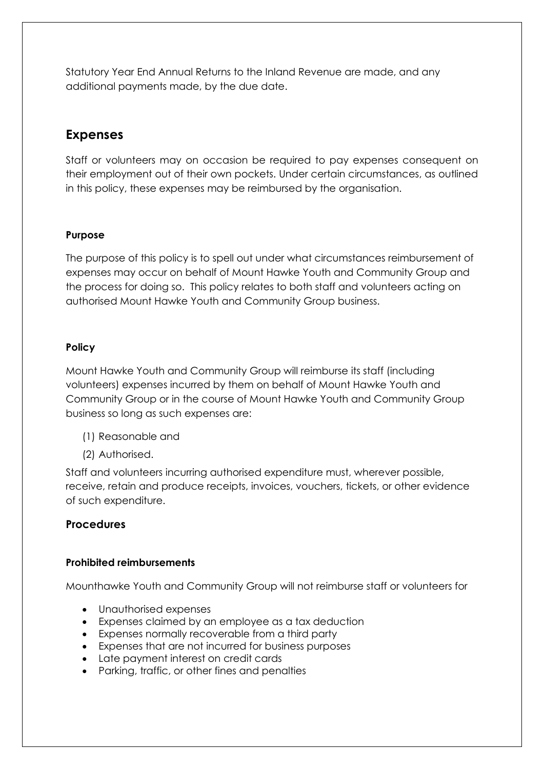Statutory Year End Annual Returns to the Inland Revenue are made, and any additional payments made, by the due date.

## **Expenses**

Staff or volunteers may on occasion be required to pay expenses consequent on their employment out of their own pockets. Under certain circumstances, as outlined in this policy, these expenses may be reimbursed by the organisation.

### **Purpose**

The purpose of this policy is to spell out under what circumstances reimbursement of expenses may occur on behalf of Mount Hawke Youth and Community Group and the process for doing so. This policy relates to both staff and volunteers acting on authorised Mount Hawke Youth and Community Group business.

#### **Policy**

Mount Hawke Youth and Community Group will reimburse its staff (including volunteers) expenses incurred by them on behalf of Mount Hawke Youth and Community Group or in the course of Mount Hawke Youth and Community Group business so long as such expenses are:

- (1) Reasonable and
- (2) Authorised.

Staff and volunteers incurring authorised expenditure must, wherever possible, receive, retain and produce receipts, invoices, vouchers, tickets, or other evidence of such expenditure.

## **Procedures**

#### **Prohibited reimbursements**

Mounthawke Youth and Community Group will not reimburse staff or volunteers for

- Unauthorised expenses
- Expenses claimed by an employee as a tax deduction
- Expenses normally recoverable from a third party
- Expenses that are not incurred for business purposes
- Late payment interest on credit cards
- Parking, traffic, or other fines and penalties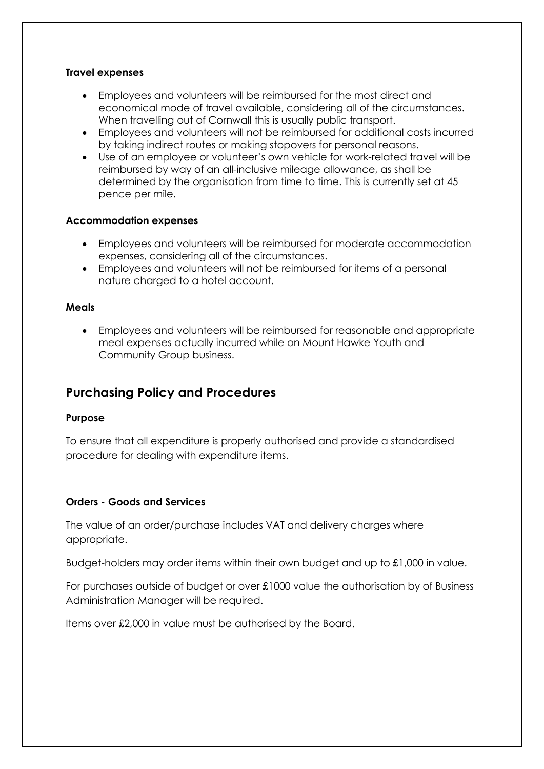#### **Travel expenses**

- Employees and volunteers will be reimbursed for the most direct and economical mode of travel available, considering all of the circumstances. When travelling out of Cornwall this is usually public transport.
- Employees and volunteers will not be reimbursed for additional costs incurred by taking indirect routes or making stopovers for personal reasons.
- Use of an employee or volunteer's own vehicle for work-related travel will be reimbursed by way of an all-inclusive mileage allowance, as shall be determined by the organisation from time to time. This is currently set at 45 pence per mile.

#### **Accommodation expenses**

- Employees and volunteers will be reimbursed for moderate accommodation expenses, considering all of the circumstances.
- Employees and volunteers will not be reimbursed for items of a personal nature charged to a hotel account.

#### **Meals**

• Employees and volunteers will be reimbursed for reasonable and appropriate meal expenses actually incurred while on Mount Hawke Youth and Community Group business.

## **Purchasing Policy and Procedures**

#### **Purpose**

To ensure that all expenditure is properly authorised and provide a standardised procedure for dealing with expenditure items.

#### **Orders - Goods and Services**

The value of an order/purchase includes VAT and delivery charges where appropriate.

Budget-holders may order items within their own budget and up to £1,000 in value.

For purchases outside of budget or over £1000 value the authorisation by of Business Administration Manager will be required.

Items over £2,000 in value must be authorised by the Board.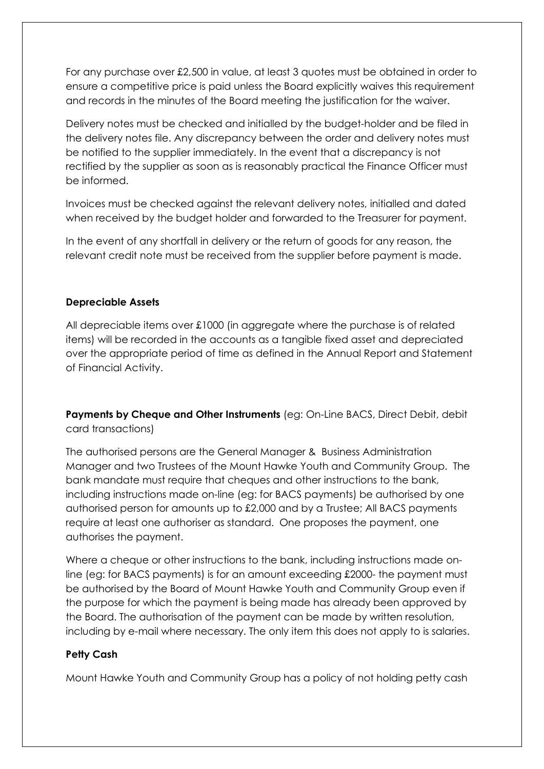For any purchase over £2,500 in value, at least 3 quotes must be obtained in order to ensure a competitive price is paid unless the Board explicitly waives this requirement and records in the minutes of the Board meeting the justification for the waiver.

Delivery notes must be checked and initialled by the budget-holder and be filed in the delivery notes file. Any discrepancy between the order and delivery notes must be notified to the supplier immediately. In the event that a discrepancy is not rectified by the supplier as soon as is reasonably practical the Finance Officer must be informed.

Invoices must be checked against the relevant delivery notes, initialled and dated when received by the budget holder and forwarded to the Treasurer for payment.

In the event of any shortfall in delivery or the return of goods for any reason, the relevant credit note must be received from the supplier before payment is made.

### **Depreciable Assets**

All depreciable items over £1000 (in aggregate where the purchase is of related items) will be recorded in the accounts as a tangible fixed asset and depreciated over the appropriate period of time as defined in the Annual Report and Statement of Financial Activity.

**Payments by Cheque and Other Instruments** (eg: On-Line BACS, Direct Debit, debit card transactions)

The authorised persons are the General Manager & Business Administration Manager and two Trustees of the Mount Hawke Youth and Community Group. The bank mandate must require that cheques and other instructions to the bank, including instructions made on-line (eg: for BACS payments) be authorised by one authorised person for amounts up to £2,000 and by a Trustee; All BACS payments require at least one authoriser as standard. One proposes the payment, one authorises the payment.

Where a cheque or other instructions to the bank, including instructions made online (eg: for BACS payments) is for an amount exceeding £2000- the payment must be authorised by the Board of Mount Hawke Youth and Community Group even if the purpose for which the payment is being made has already been approved by the Board. The authorisation of the payment can be made by written resolution, including by e-mail where necessary. The only item this does not apply to is salaries.

## **Petty Cash**

Mount Hawke Youth and Community Group has a policy of not holding petty cash